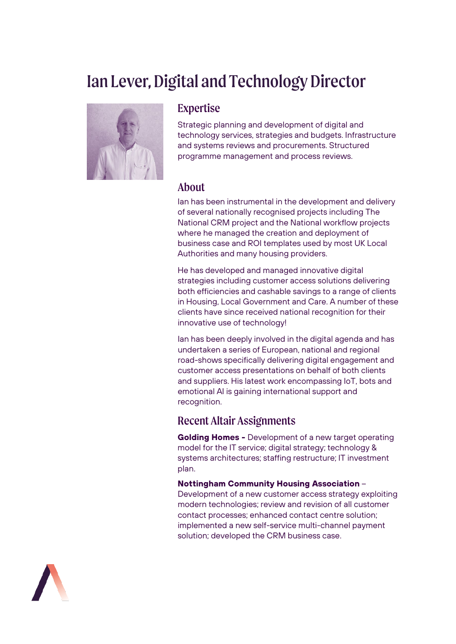# Ian Lever, Digital and Technology Director



#### Expertise

Strategic planning and development of digital and technology services, strategies and budgets. Infrastructure and systems reviews and procurements. Structured programme management and process reviews.

#### About

Ian has been instrumental in the development and delivery of several nationally recognised projects including The National CRM project and the National workflow projects where he managed the creation and deployment of business case and ROI templates used by most UK Local Authorities and many housing providers.

He has developed and managed innovative digital strategies including customer access solutions delivering both efficiencies and cashable savings to a range of clients in Housing, Local Government and Care. A number of these clients have since received national recognition for their innovative use of technology!

Ian has been deeply involved in the digital agenda and has undertaken a series of European, national and regional road-shows specifically delivering digital engagement and customer access presentations on behalf of both clients and suppliers. His latest work encompassing IoT, bots and emotional AI is gaining international support and recognition.

### Recent Altair Assignments

**Golding Homes -** Development of a new target operating model for the IT service; digital strategy; technology & systems architectures; staffing restructure; IT investment plan.

**Nottingham Community Housing Association** – Development of a new customer access strategy exploiting modern technologies; review and revision of all customer contact processes; enhanced contact centre solution; implemented a new self-service multi-channel payment solution; developed the CRM business case.